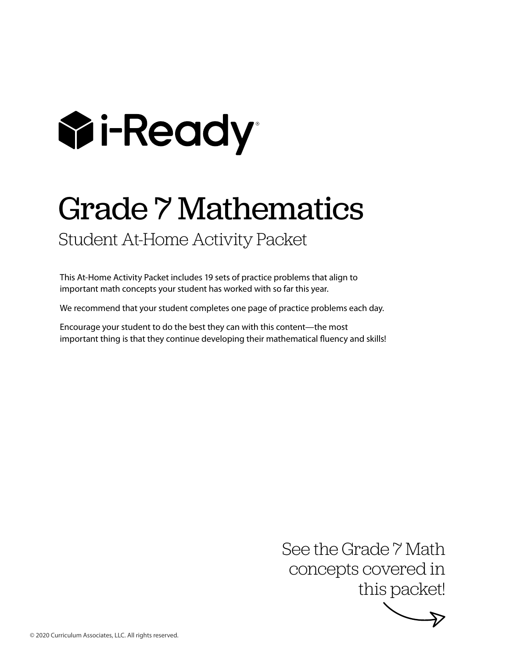

# Grade 7 Mathematics

Student At-Home Activity Packet

This At-Home Activity Packet includes 19 sets of practice problems that align to important math concepts your student has worked with so far this year.

We recommend that your student completes one page of practice problems each day.

Encourage your student to do the best they can with this content—the most important thing is that they continue developing their mathematical fluency and skills!

> See the Grade 7 Math concepts covered in this packet!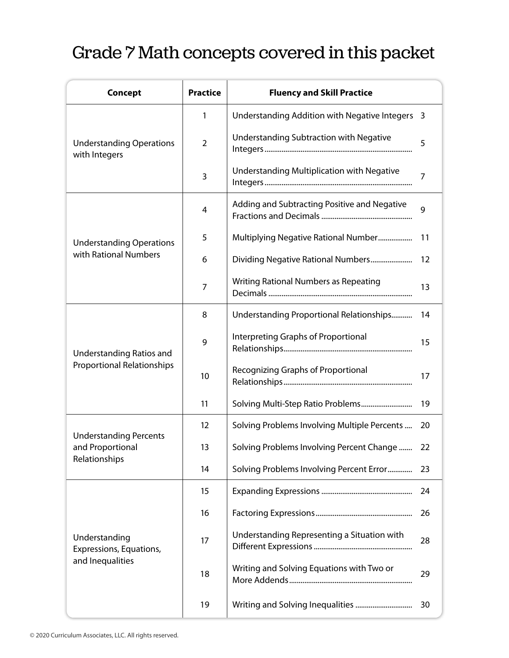# Grade 7 Math concepts covered in this packet

| <b>Concept</b>                                                       | <b>Practice</b>   | <b>Fluency and Skill Practice</b>               |    |
|----------------------------------------------------------------------|-------------------|-------------------------------------------------|----|
|                                                                      | 1                 | Understanding Addition with Negative Integers 3 |    |
| <b>Understanding Operations</b><br>with Integers                     | $\overline{2}$    | <b>Understanding Subtraction with Negative</b>  | 5  |
|                                                                      | 3                 | Understanding Multiplication with Negative      | 7  |
|                                                                      | 4                 | Adding and Subtracting Positive and Negative    | 9  |
| <b>Understanding Operations</b>                                      | 5                 | Multiplying Negative Rational Number            | 11 |
| with Rational Numbers                                                | 6                 | Dividing Negative Rational Numbers              | 12 |
|                                                                      | 7                 | Writing Rational Numbers as Repeating           | 13 |
| <b>Understanding Ratios and</b><br><b>Proportional Relationships</b> | 8                 | Understanding Proportional Relationships        | 14 |
|                                                                      | 9                 | Interpreting Graphs of Proportional             | 15 |
|                                                                      | 10                | Recognizing Graphs of Proportional              | 17 |
|                                                                      | 11                | Solving Multi-Step Ratio Problems               | 19 |
| <b>Understanding Percents</b><br>and Proportional                    | $12 \overline{ }$ | Solving Problems Involving Multiple Percents    | 20 |
|                                                                      | 13                | Solving Problems Involving Percent Change       | 22 |
| Relationships                                                        | 14                | Solving Problems Involving Percent Error        | 23 |
| Understanding<br>Expressions, Equations,                             | 15                |                                                 | 24 |
|                                                                      | 16                |                                                 | 26 |
|                                                                      | 17                | Understanding Representing a Situation with     | 28 |
| and Inequalities                                                     | 18                | Writing and Solving Equations with Two or       | 29 |
|                                                                      | 19                |                                                 | 30 |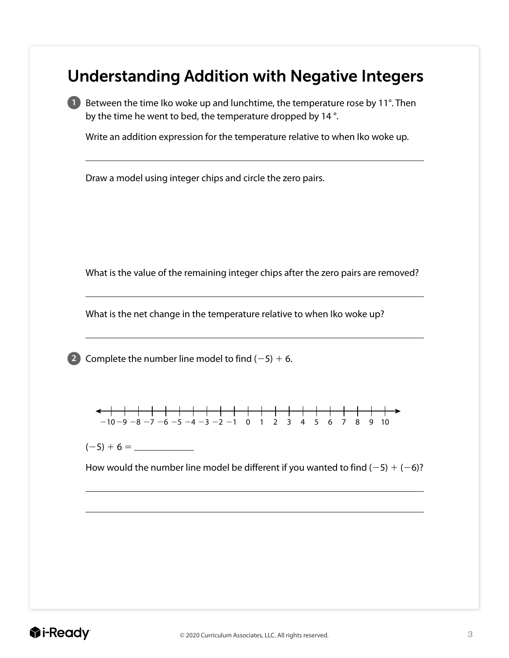#### Understanding Addition with Negative Integers

**1** Between the time Iko woke up and lunchtime, the temperature rose by 11°. Then by the time he went to bed, the temperature dropped by 14 °.

Write an addition expression for the temperature relative to when Iko woke up.

Draw a model using integer chips and circle the zero pairs.

What is the value of the remaining integer chips after the zero pairs are removed?

What is the net change in the temperature relative to when Iko woke up?

**2** Complete the number line model to find  $(-5) + 6$ .



(25) 1 6 5

How would the number line model be different if you wanted to find  $(-5) + (-6)$ ?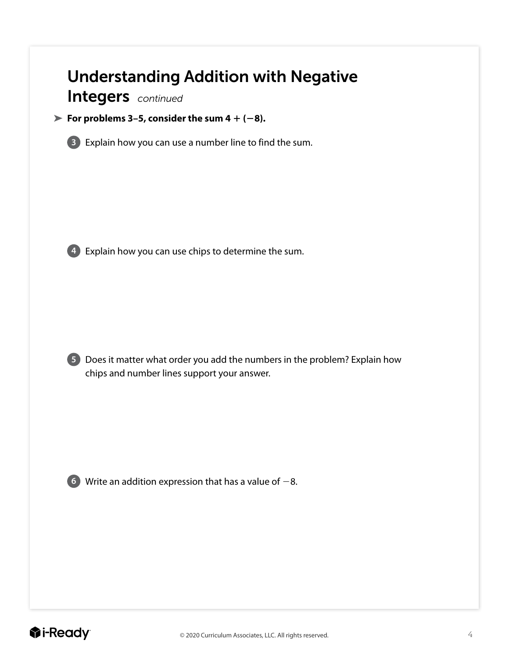# Understanding Addition with Negative

Integers *continued*

#### For problems 3–5, consider the sum  $4 + (-8)$ .



**3** Explain how you can use a number line to find the sum.





**5** Does it matter what order you add the numbers in the problem? Explain how chips and number lines support your answer.



**6** Write an addition expression that has a value of  $-8$ .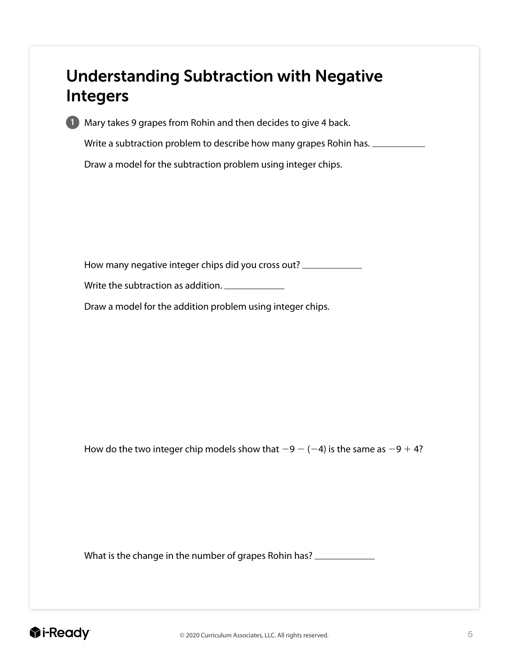## Understanding Subtraction with Negative Integers



**1** Mary takes 9 grapes from Rohin and then decides to give 4 back.

Write a subtraction problem to describe how many grapes Rohin has.

Draw a model for the subtraction problem using integer chips.

How many negative integer chips did you cross out?

Write the subtraction as addition.

Draw a model for the addition problem using integer chips.

How do the two integer chip models show that  $-9 - (-4)$  is the same as  $-9 + 4$ ?

What is the change in the number of grapes Rohin has?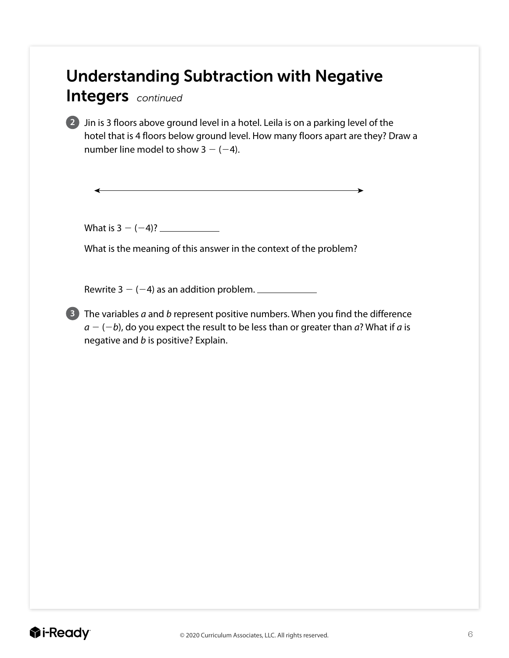# Understanding Subtraction with Negative

Integers *continued*

**2** Jin is 3 floors above ground level in a hotel. Leila is on a parking level of the hotel that is 4 floors below ground level. How many floors apart are they? Draw a number line model to show  $3 - (-4)$ .

What is  $3 - (-4)$ ?

What is the meaning of this answer in the context of the problem?

Rewrite  $3 - (-4)$  as an addition problem.

**3** The variables *a* and *b* represent positive numbers. When you find the difference  $a - (-b)$ , do you expect the result to be less than or greater than *a*? What if *a* is negative and *b* is positive? Explain.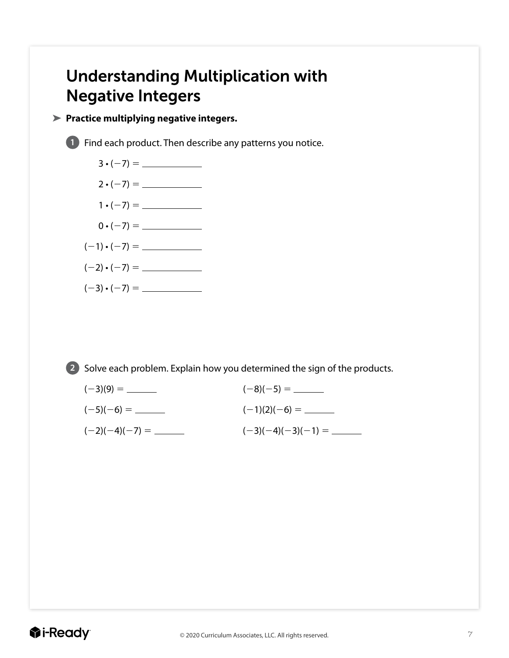# Understanding Multiplication with Negative Integers

#### **Practice multiplying negative integers.**

**1** Find each product. Then describe any patterns you notice.



**2** Solve each problem. Explain how you determined the sign of the products.

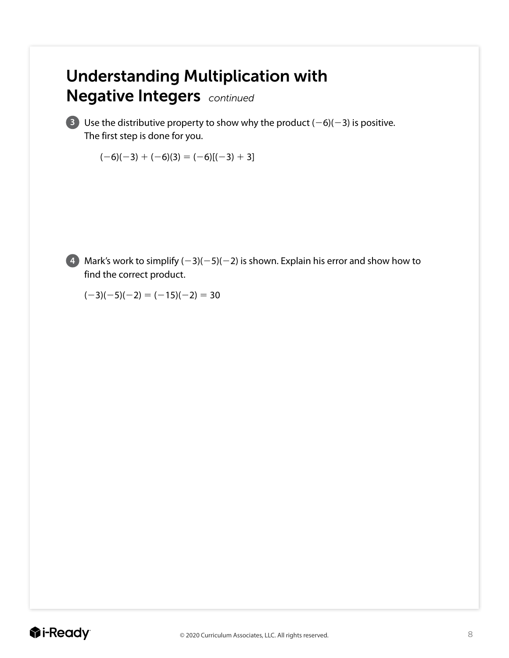# Understanding Multiplication with Negative Integers *continued*

**3** Use the distributive property to show why the product  $(-6)(-3)$  is positive. The first step is done for you.

 $(-6)(-3) + (-6)(3) = (-6)[(-3) + 3]$ 



**4** Mark's work to simplify  $(-3)(-5)(-2)$  is shown. Explain his error and show how to find the correct product.

 $(-3)(-5)(-2) = (-15)(-2) = 30$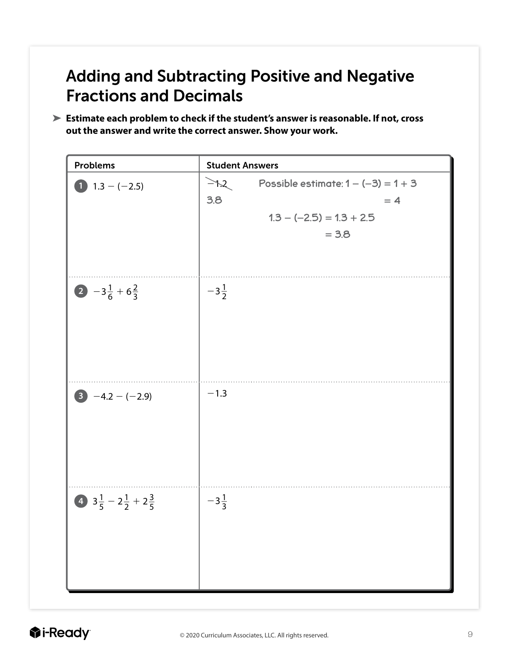# Adding and Subtracting Positive and Negative Fractions and Decimals

**Estimate each problem to check if the student's answer is reasonable. If not, cross out the answer and write the correct answer. Show your work.**

| <b>Problems</b>                                    | <b>Student Answers</b>                                                                                                     |
|----------------------------------------------------|----------------------------------------------------------------------------------------------------------------------------|
| 1.3 $-(-2.5)$                                      | $\geq$ $\uparrow$ $\sim$<br>Possible estimate: $1 - (-3) = 1 + 3$<br>3.8<br>$= 4$<br>$1.3 - (-2.5) = 1.3 + 2.5$<br>$= 3.8$ |
| $2 - 3\frac{1}{6} + 6\frac{2}{3}$                  | $-3\frac{1}{2}$                                                                                                            |
| $-4.2-(-2.9)$                                      | $-1.3$                                                                                                                     |
| 4 $3\frac{1}{5}$ – $2\frac{1}{2}$ + $2\frac{3}{5}$ | $-3\frac{1}{3}$                                                                                                            |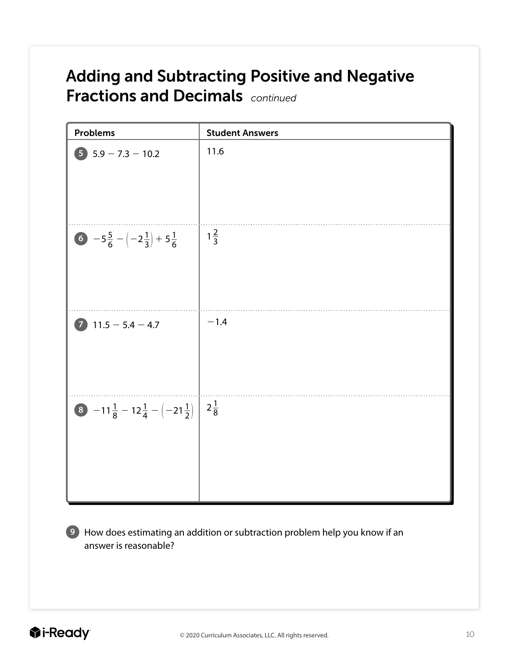# Adding and Subtracting Positive and Negative Fractions and Decimals *continued*

| <b>Problems</b>                                       | <b>Student Answers</b> |
|-------------------------------------------------------|------------------------|
| $5$ $5.9 - 7.3 - 10.2$                                | 11.6                   |
| 6 $-5\frac{5}{6}-(-2\frac{1}{3})+5\frac{1}{6}$        | $1\frac{2}{3}$         |
| $\bullet$<br>$11.5 - 5.4 - 4.7$                       | $-1.4$                 |
| 8 $-11\frac{1}{8} - 12\frac{1}{4} - (-21\frac{1}{2})$ | $2\frac{1}{8}$         |

**9** How does estimating an addition or subtraction problem help you know if an answer is reasonable?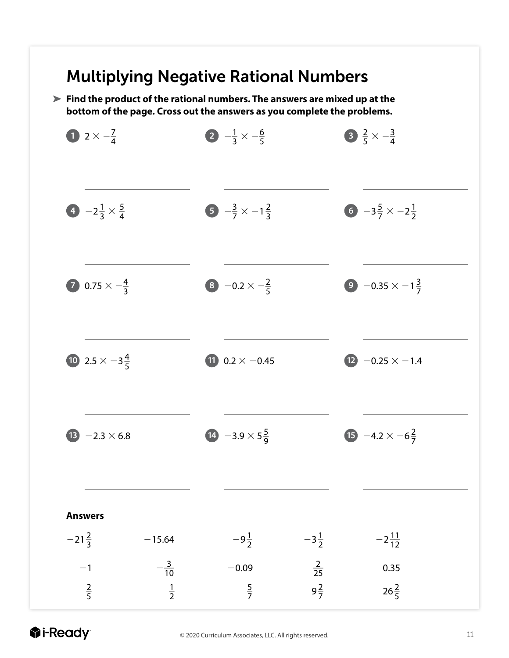### Multiplying Negative Rational Numbers

**Find the product of the rational numbers. The answers are mixed up at the bottom of the page. Cross out the answers as you complete the problems.**



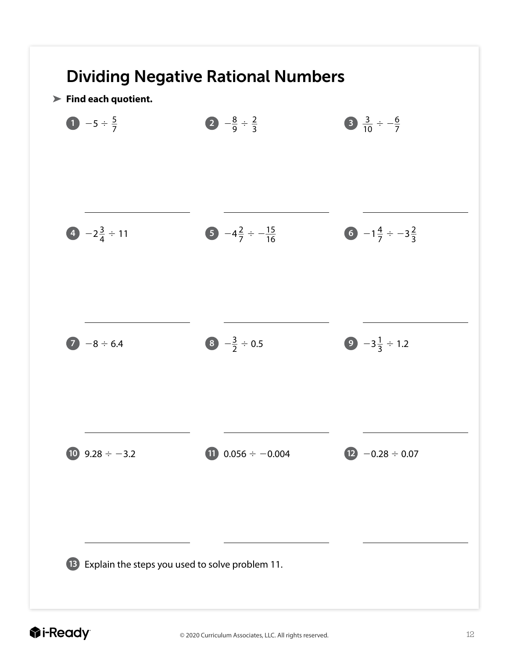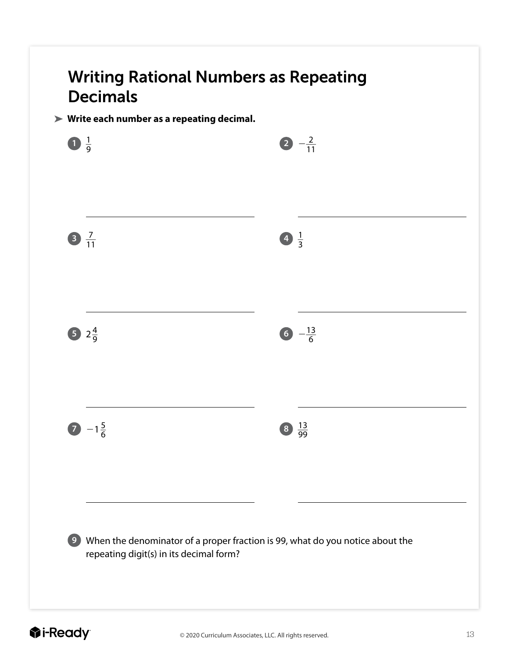# Writing Rational Numbers as Repeating Decimals

#### **Write each number as a repeating decimal.**

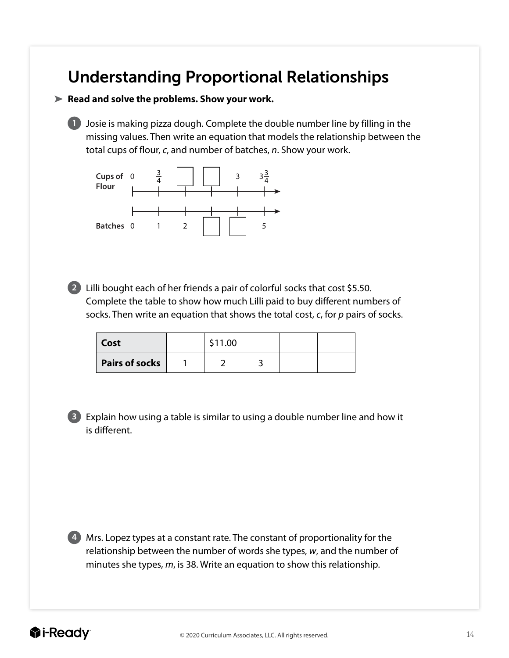### Understanding Proportional Relationships

#### **Read and solve the problems. Show your work.**

**1** Josie is making pizza dough. Complete the double number line by filling in the missing values. Then write an equation that models the relationship between the total cups of flour, *c*, and number of batches, *n*. Show your work.



**2** Lilli bought each of her friends a pair of colorful socks that cost \$5.50. Complete the table to show how much Lilli paid to buy different numbers of socks. Then write an equation that shows the total cost, *c*, for *p* pairs of socks.

| Cost                  | \$11.00 |  |  |
|-----------------------|---------|--|--|
| <b>Pairs of socks</b> |         |  |  |

**3** Explain how using a table is similar to using a double number line and how it is different.

**4** Mrs. Lopez types at a constant rate. The constant of proportionality for the relationship between the number of words she types, *w*, and the number of minutes she types, *m*, is 38. Write an equation to show this relationship.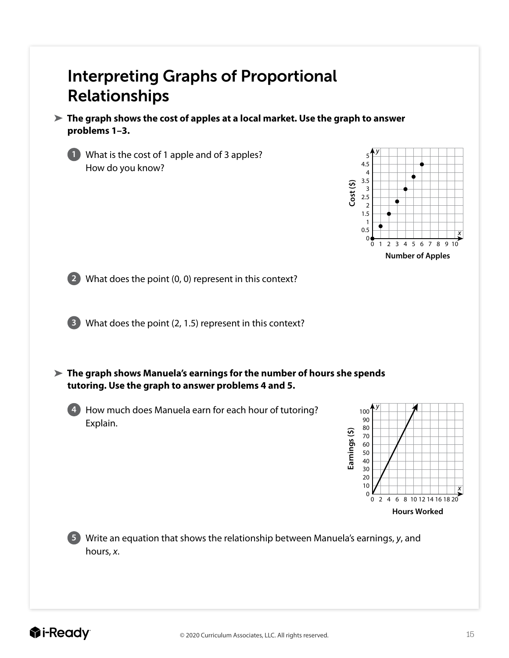### Interpreting Graphs of Proportional Relationships

**The graph shows the cost of apples at a local market. Use the graph to answer problems 1–3.** 



**1** What is the cost of 1 apple and of 3 apples? How do you know?



**2** What does the point (0, 0) represent in this context?

**3** What does the point (2, 1.5) represent in this context?

**The graph shows Manuela's earnings for the number of hours she spends tutoring. Use the graph to answer problems 4 and 5.**

**4** How much does Manuela earn for each hour of tutoring? Explain.



**5** Write an equation that shows the relationship between Manuela's earnings, *y*, and hours, *x*.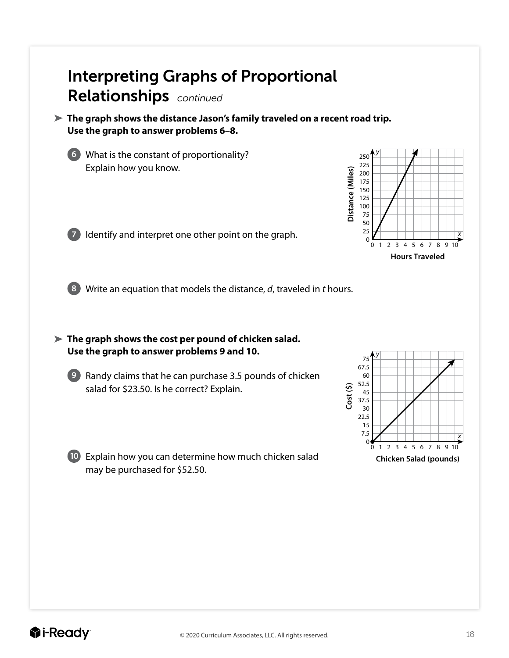### Interpreting Graphs of Proportional Relationships *continued*

**The graph shows the distance Jason's family traveled on a recent road trip. Use the graph to answer problems 6–8.**

**6** What is the constant of proportionality? Explain how you know.



**7** Identify and interpret one other point on the graph.

**8** Write an equation that models the distance, *d*, traveled in *t* hours.

**The graph shows the cost per pound of chicken salad. Use the graph to answer problems 9 and 10.**



**9** Randy claims that he can purchase 3.5 pounds of chicken salad for \$23.50. Is he correct? Explain.



**10** Explain how you can determine how much chicken salad may be purchased for \$52.50.

**Chicken Salad (pounds)**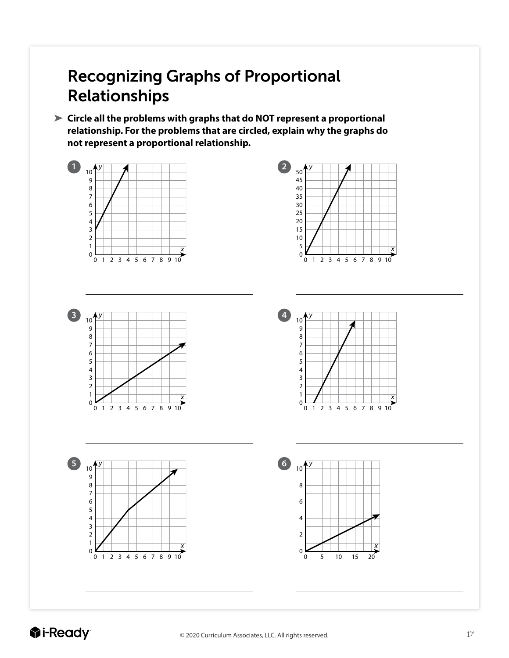# Recognizing Graphs of Proportional Relationships

**Circle all the problems with graphs that do NOT represent a proportional relationship. For the problems that are circled, explain why the graphs do not represent a proportional relationship.**

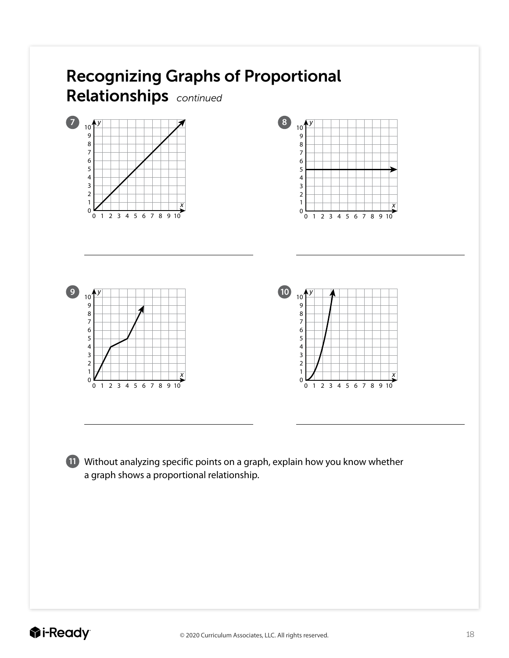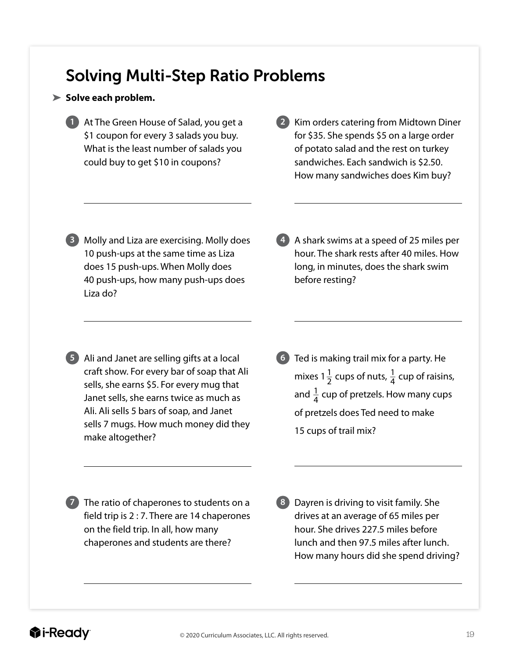### Solving Multi-Step Ratio Problems

#### **Solve each problem.**

- **1** At The Green House of Salad, you get a \$1 coupon for every 3 salads you buy. What is the least number of salads you could buy to get \$10 in coupons?
- **2** Kim orders catering from Midtown Diner for \$35. She spends \$5 on a large order of potato salad and the rest on turkey sandwiches. Each sandwich is \$2.50. How many sandwiches does Kim buy?
- **3** Molly and Liza are exercising. Molly does 10 push-ups at the same time as Liza does 15 push-ups. When Molly does 40 push-ups, how many push-ups does Liza do?
- **4** A shark swims at a speed of 25 miles per hour. The shark rests after 40 miles. How long, in minutes, does the shark swim before resting?

- **5** Ali and Janet are selling gifts at a local craft show. For every bar of soap that Ali sells, she earns \$5. For every mug that Janet sells, she earns twice as much as Ali. Ali sells 5 bars of soap, and Janet sells 7 mugs. How much money did they make altogether?
- **6** Ted is making trail mix for a party. He mixes 1 $\frac{1}{2}$  cups of nuts,  $\frac{1}{4}$  cup of raisins, and  $\frac{1}{4}$  cup of pretzels. How many cups of pretzels does Ted need to make 15 cups of trail mix?

**7** The ratio of chaperones to students on a field trip is 2 : 7. There are 14 chaperones on the field trip. In all, how many chaperones and students are there?

**8** Dayren is driving to visit family. She drives at an average of 65 miles per hour. She drives 227.5 miles before lunch and then 97.5 miles after lunch. How many hours did she spend driving?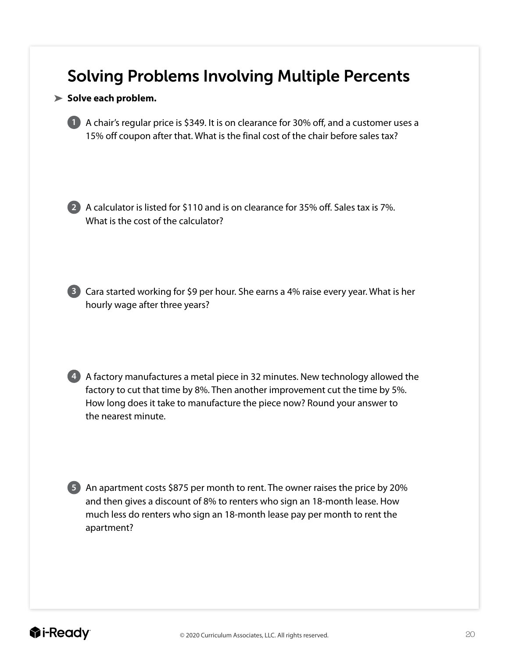#### Solving Problems Involving Multiple Percents

#### **Solve each problem.**

**1** A chair's regular price is \$349. It is on clearance for 30% off, and a customer uses a 15% off coupon after that. What is the final cost of the chair before sales tax?

**2** A calculator is listed for \$110 and is on clearance for 35% off. Sales tax is 7%. What is the cost of the calculator?

**3** Cara started working for \$9 per hour. She earns a 4% raise every year. What is her hourly wage after three years?

**4** A factory manufactures a metal piece in 32 minutes. New technology allowed the factory to cut that time by 8%. Then another improvement cut the time by 5%. How long does it take to manufacture the piece now? Round your answer to the nearest minute.

**5** An apartment costs \$875 per month to rent. The owner raises the price by 20% and then gives a discount of 8% to renters who sign an 18-month lease. How much less do renters who sign an 18-month lease pay per month to rent the apartment?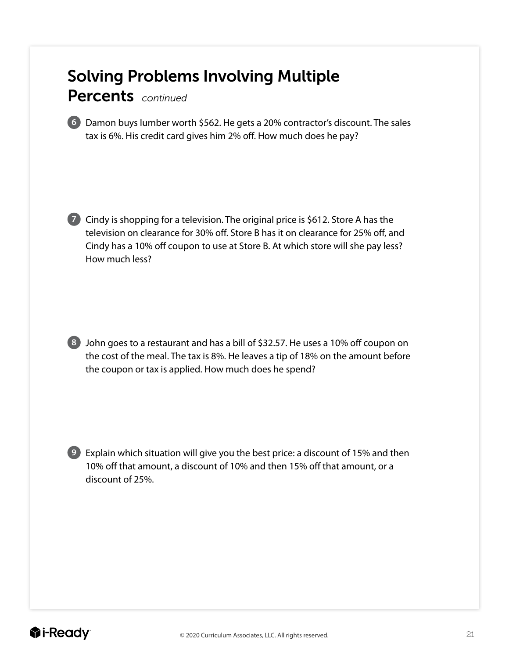# Solving Problems Involving Multiple

Percents *continued*

**6** Damon buys lumber worth \$562. He gets a 20% contractor's discount. The sales tax is 6%. His credit card gives him 2% off. How much does he pay?

**7** Cindy is shopping for a television. The original price is \$612. Store A has the television on clearance for 30% off. Store B has it on clearance for 25% off, and Cindy has a 10% off coupon to use at Store B. At which store will she pay less? How much less?



**8** John goes to a restaurant and has a bill of \$32.57. He uses a 10% off coupon on the cost of the meal. The tax is 8%. He leaves a tip of 18% on the amount before the coupon or tax is applied. How much does he spend?

**9** Explain which situation will give you the best price: a discount of 15% and then 10% off that amount, a discount of 10% and then 15% off that amount, or a discount of 25%.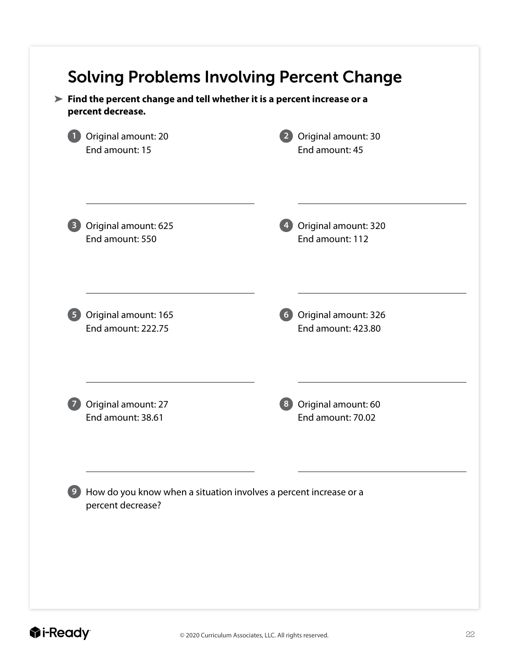| Original amount: 20                                                                    | Original amount: 30       |
|----------------------------------------------------------------------------------------|---------------------------|
| End amount: 15                                                                         | End amount: 45            |
| Original amount: 625                                                                   | Original amount: 320      |
| End amount: 550                                                                        | End amount: 112           |
| Original amount: 165                                                                   | Original amount: 326      |
| <b>End amount: 222.75</b>                                                              | <b>End amount: 423.80</b> |
| Original amount: 27                                                                    | Original amount: 60       |
| End amount: 38.61                                                                      | End amount: 70.02         |
| How do you know when a situation involves a percent increase or a<br>percent decrease? |                           |

#### *<u>i*-Ready</u>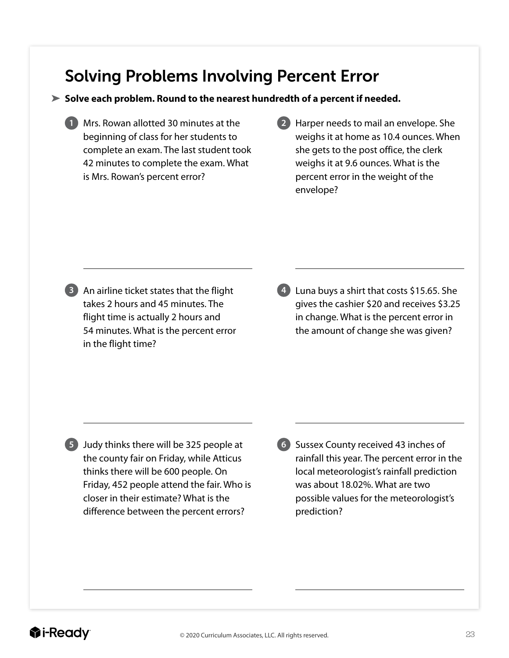### Solving Problems Involving Percent Error

#### **Solve each problem. Round to the nearest hundredth of a percent if needed.**

- **1** Mrs. Rowan allotted 30 minutes at the beginning of class for her students to complete an exam. The last student took 42 minutes to complete the exam. What is Mrs. Rowan's percent error?
- **2** Harper needs to mail an envelope. She weighs it at home as 10.4 ounces. When she gets to the post office, the clerk weighs it at 9.6 ounces. What is the percent error in the weight of the envelope?

**3** An airline ticket states that the flight takes 2 hours and 45 minutes. The flight time is actually 2 hours and 54 minutes. What is the percent error in the flight time?

**4** Luna buys a shirt that costs \$15.65. She gives the cashier \$20 and receives \$3.25 in change. What is the percent error in the amount of change she was given?

**5** Judy thinks there will be 325 people at the county fair on Friday, while Atticus thinks there will be 600 people. On Friday, 452 people attend the fair. Who is closer in their estimate? What is the difference between the percent errors?

**6** Sussex County received 43 inches of rainfall this year. The percent error in the local meteorologist's rainfall prediction was about 18.02%. What are two possible values for the meteorologist's prediction?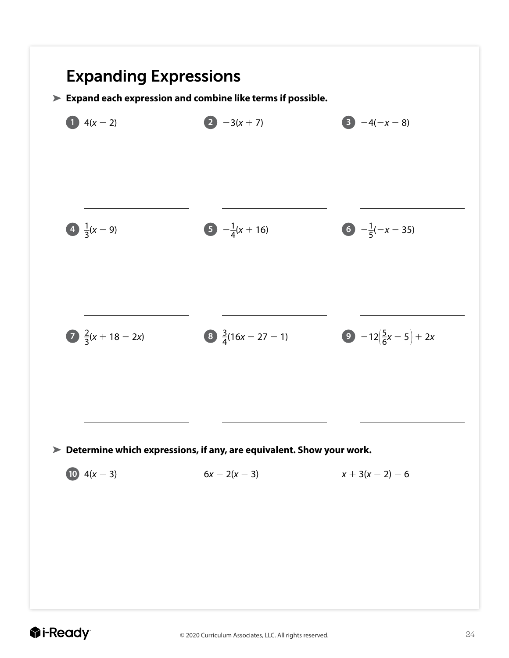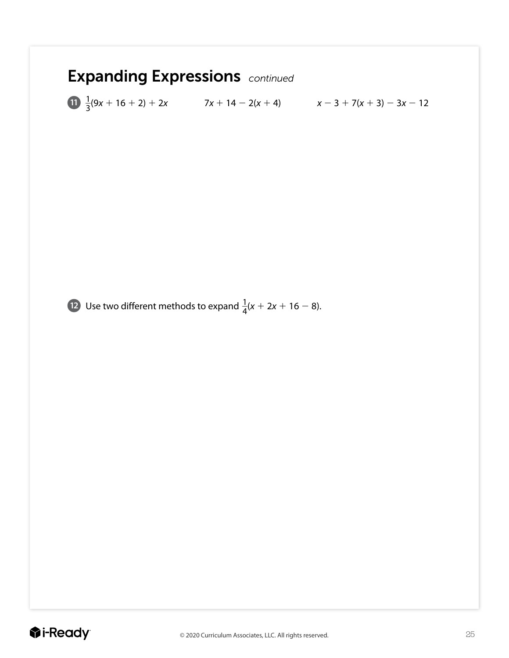# Expanding Expressions *continued*

**11**  $\frac{1}{3}(9x + 16 + 2) + 2x$  7*x* + 14 - 2(*x* + 4)  $x - 3 + 7(x + 3) - 3x - 12$ 

**12** Use two different methods to expand  $\frac{1}{4}(x + 2x + 16 - 8)$ .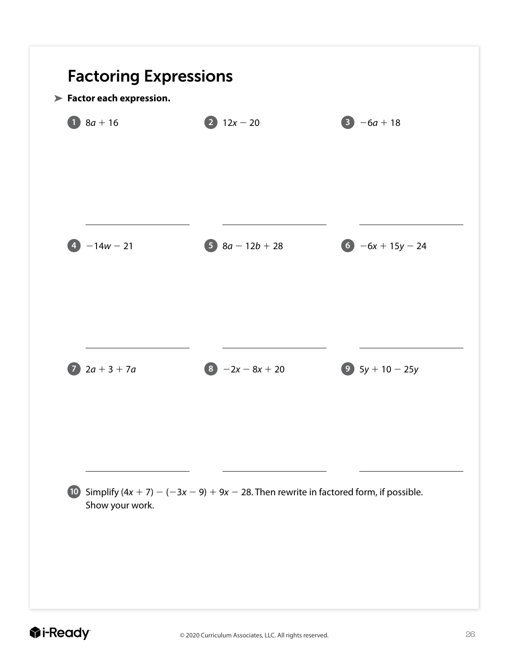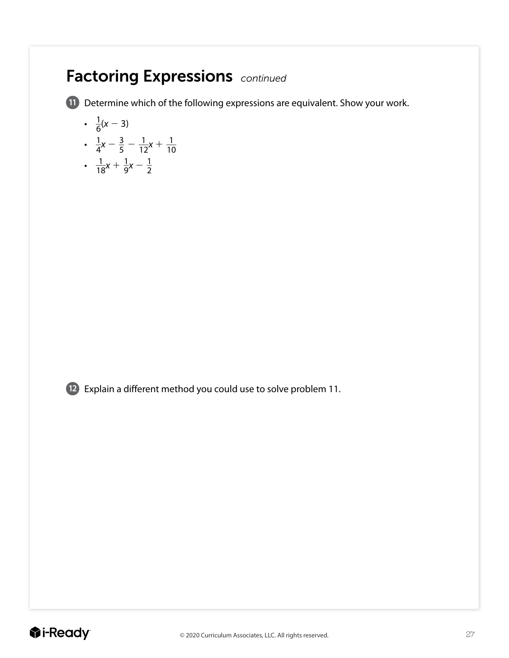### Factoring Expressions *continued*

**11** Determine which of the following expressions are equivalent. Show your work.

$$
\bullet \ \ \frac{1}{6}(x-3)
$$

- $\frac{1}{4}x \frac{3}{5} \frac{1}{12}x + \frac{1}{10}$
- $\frac{1}{18}x + \frac{1}{9}x \frac{1}{2}$



**12** Explain a different method you could use to solve problem 11.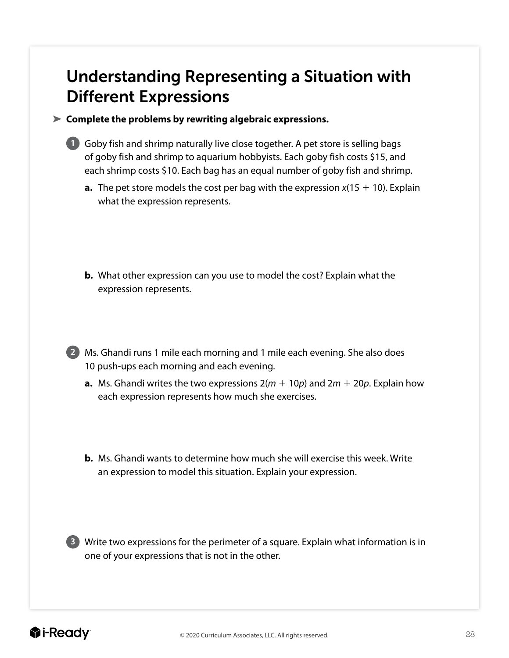### Understanding Representing a Situation with Different Expressions

**Complete the problems by rewriting algebraic expressions.**



**1** Goby fish and shrimp naturally live close together. A pet store is selling bags of goby fish and shrimp to aquarium hobbyists. Each goby fish costs \$15, and each shrimp costs \$10. Each bag has an equal number of goby fish and shrimp.

- **a.** The pet store models the cost per bag with the expression  $x(15 + 10)$ . Explain what the expression represents.
- **b.** What other expression can you use to model the cost? Explain what the expression represents.

**2** Ms. Ghandi runs 1 mile each morning and 1 mile each evening. She also does 10 push-ups each morning and each evening.

- **a.** Ms. Ghandi writes the two expressions  $2(m + 10p)$  and  $2m + 20p$ . Explain how each expression represents how much she exercises.
- **b.** Ms. Ghandi wants to determine how much she will exercise this week. Write an expression to model this situation. Explain your expression.

**3** Write two expressions for the perimeter of a square. Explain what information is in one of your expressions that is not in the other.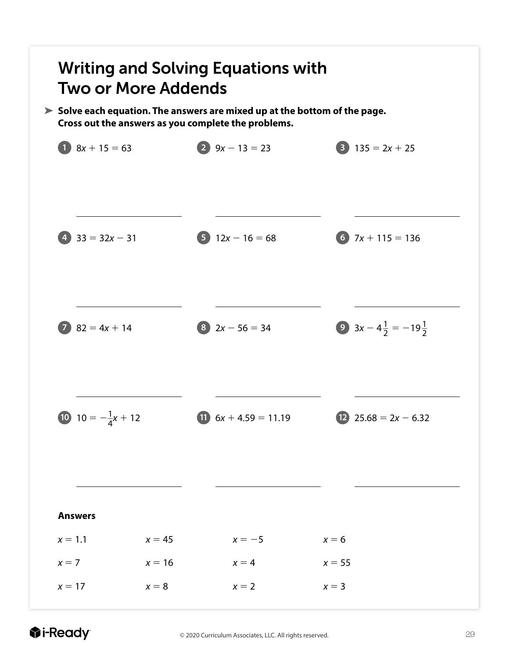

*<u>i*-Ready</u>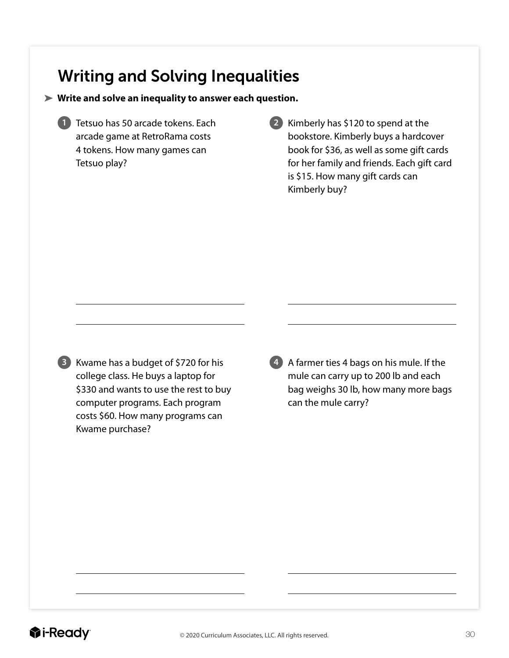#### Writing and Solving Inequalities

#### **Write and solve an inequality to answer each question.**

**1** Tetsuo has 50 arcade tokens. Each arcade game at RetroRama costs 4 tokens. How many games can Tetsuo play?

**2** Kimberly has \$120 to spend at the bookstore. Kimberly buys a hardcover book for \$36, as well as some gift cards for her family and friends. Each gift card is \$15. How many gift cards can Kimberly buy?



**3** Kwame has a budget of \$720 for his college class. He buys a laptop for \$330 and wants to use the rest to buy computer programs. Each program costs \$60. How many programs can Kwame purchase?

**4** A farmer ties 4 bags on his mule. If the mule can carry up to 200 lb and each bag weighs 30 lb, how many more bags can the mule carry?